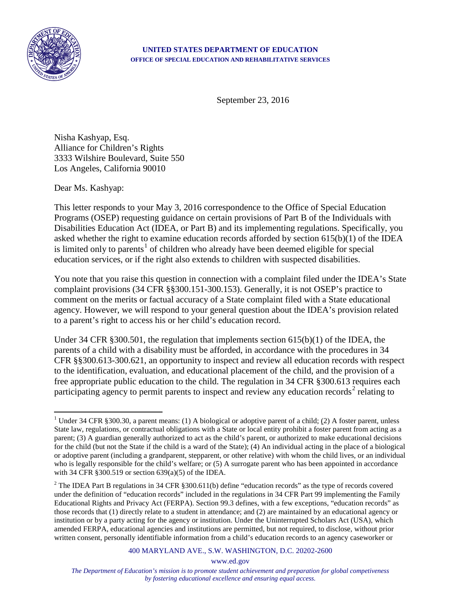

## **UNITED STATES DEPARTMENT OF EDUCATION OFFICE OF SPECIAL EDUCATION AND REHABILITATIVE SERVICES**

September 23, 2016

Nisha Kashyap, Esq. Alliance for Children's Rights 3333 Wilshire Boulevard, Suite 550 Los Angeles, California 90010

Dear Ms. Kashyap:

This letter responds to your May 3, 2016 correspondence to the Office of Special Education Programs (OSEP) requesting guidance on certain provisions of Part B of the Individuals with Disabilities Education Act (IDEA, or Part B) and its implementing regulations. Specifically, you asked whether the right to examine education records afforded by section 615(b)(1) of the IDEA is limited only to parents<sup>[1](#page-0-0)</sup> of children who already have been deemed eligible for special education services, or if the right also extends to children with suspected disabilities.

You note that you raise this question in connection with a complaint filed under the IDEA's State complaint provisions (34 CFR §§300.151-300.153). Generally, it is not OSEP's practice to comment on the merits or factual accuracy of a State complaint filed with a State educational agency. However, we will respond to your general question about the IDEA's provision related to a parent's right to access his or her child's education record.

Under 34 CFR §300.501, the regulation that implements section 615(b)(1) of the IDEA, the parents of a child with a disability must be afforded, in accordance with the procedures in 34 CFR §§300.613-300.621, an opportunity to inspect and review all education records with respect to the identification, evaluation, and educational placement of the child, and the provision of a free appropriate public education to the child. The regulation in 34 CFR §300.613 requires each participating agency to permit parents to inspect and review any education records<sup>[2](#page-0-1)</sup> relating to

400 MARYLAND AVE., S.W. WASHINGTON, D.C. 20202-2600

www.ed.gov

<span id="page-0-0"></span><sup>&</sup>lt;sup>1</sup> Under 34 CFR §300.30, a parent means: (1) A biological or adoptive parent of a child; (2) A foster parent, unless State law, regulations, or contractual obligations with a State or local entity prohibit a foster parent from acting as a parent; (3) A guardian generally authorized to act as the child's parent, or authorized to make educational decisions for the child (but not the State if the child is a ward of the State); (4) An individual acting in the place of a biological or adoptive parent (including a grandparent, stepparent, or other relative) with whom the child lives, or an individual who is legally responsible for the child's welfare; or (5) A surrogate parent who has been appointed in accordance with 34 CFR §300.519 or section 639(a)(5) of the IDEA.  $\overline{a}$ 

<span id="page-0-1"></span><sup>&</sup>lt;sup>2</sup> The IDEA Part B regulations in 34 CFR §300.611(b) define "education records" as the type of records covered under the definition of "education records" included in the regulations in 34 CFR Part 99 implementing the Family Educational Rights and Privacy Act (FERPA). Section 99.3 defines, with a few exceptions, "education records" as those records that (1) directly relate to a student in attendance; and (2) are maintained by an educational agency or institution or by a party acting for the agency or institution. Under the Uninterrupted Scholars Act (USA), which amended FERPA, educational agencies and institutions are permitted, but not required, to disclose, without prior written consent, personally identifiable information from a child's education records to an agency caseworker or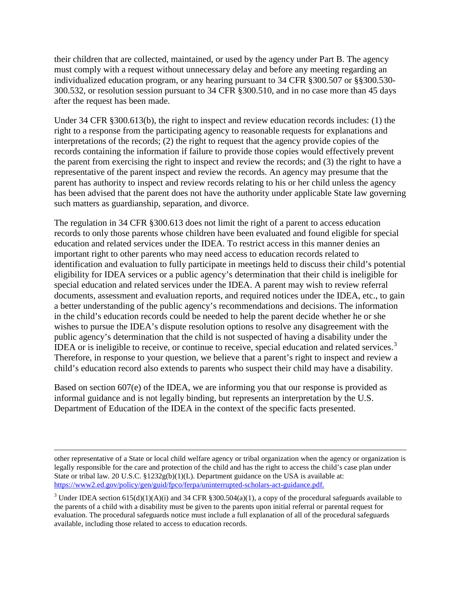their children that are collected, maintained, or used by the agency under Part B. The agency must comply with a request without unnecessary delay and before any meeting regarding an individualized education program, or any hearing pursuant to 34 CFR §300.507 or §§300.530- 300.532, or resolution session pursuant to 34 CFR §300.510, and in no case more than 45 days after the request has been made.

Under 34 CFR §300.613(b), the right to inspect and review education records includes: (1) the right to a response from the participating agency to reasonable requests for explanations and interpretations of the records; (2) the right to request that the agency provide copies of the records containing the information if failure to provide those copies would effectively prevent the parent from exercising the right to inspect and review the records; and (3) the right to have a representative of the parent inspect and review the records. An agency may presume that the parent has authority to inspect and review records relating to his or her child unless the agency has been advised that the parent does not have the authority under applicable State law governing such matters as guardianship, separation, and divorce.

The regulation in 34 CFR §300.613 does not limit the right of a parent to access education records to only those parents whose children have been evaluated and found eligible for special education and related services under the IDEA. To restrict access in this manner denies an important right to other parents who may need access to education records related to identification and evaluation to fully participate in meetings held to discuss their child's potential eligibility for IDEA services or a public agency's determination that their child is ineligible for special education and related services under the IDEA. A parent may wish to review referral documents, assessment and evaluation reports, and required notices under the IDEA, etc., to gain a better understanding of the public agency's recommendations and decisions. The information in the child's education records could be needed to help the parent decide whether he or she wishes to pursue the IDEA's dispute resolution options to resolve any disagreement with the public agency's determination that the child is not suspected of having a disability under the IDEA or is ineligible to receive, or continue to receive, special education and related services.<sup>[3](#page-1-0)</sup> Therefore, in response to your question, we believe that a parent's right to inspect and review a child's education record also extends to parents who suspect their child may have a disability.

Based on section 607(e) of the IDEA, we are informing you that our response is provided as informal guidance and is not legally binding, but represents an interpretation by the U.S. Department of Education of the IDEA in the context of the specific facts presented.

 $\overline{a}$ 

other representative of a State or local child welfare agency or tribal organization when the agency or organization is legally responsible for the care and protection of the child and has the right to access the child's case plan under State or tribal law. 20 U.S.C. §1232g(b)(1)(L). Department guidance on the USA is available at: [https://www2.ed.gov/policy/gen/guid/fpco/ferpa/uninterrupted-scholars-act-guidance.pdf.](https://www2.ed.gov/policy/gen/guid/fpco/ferpa/uninterrupted-scholars-act-guidance.pdf)

<span id="page-1-0"></span><sup>&</sup>lt;sup>3</sup> Under IDEA section  $615(d)(1)(A)(i)$  and 34 CFR §300.504(a)(1), a copy of the procedural safeguards available to the parents of a child with a disability must be given to the parents upon initial referral or parental request for evaluation. The procedural safeguards notice must include a full explanation of all of the procedural safeguards available, including those related to access to education records.